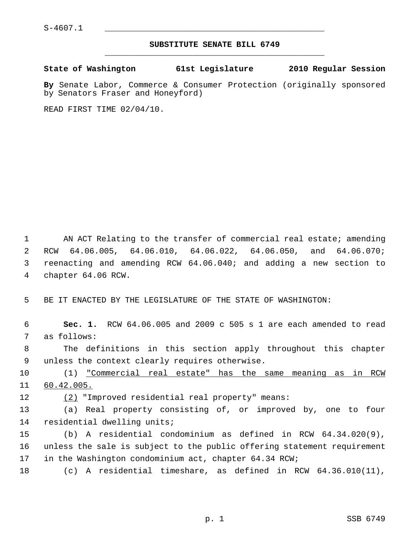## **SUBSTITUTE SENATE BILL 6749** \_\_\_\_\_\_\_\_\_\_\_\_\_\_\_\_\_\_\_\_\_\_\_\_\_\_\_\_\_\_\_\_\_\_\_\_\_\_\_\_\_\_\_\_\_

**State of Washington 61st Legislature 2010 Regular Session**

**By** Senate Labor, Commerce & Consumer Protection (originally sponsored by Senators Fraser and Honeyford)

READ FIRST TIME 02/04/10.

1 AN ACT Relating to the transfer of commercial real estate; amending 2 RCW 64.06.005, 64.06.010, 64.06.022, 64.06.050, and 64.06.070; 3 reenacting and amending RCW 64.06.040; and adding a new section to 4 chapter 64.06 RCW.

5 BE IT ENACTED BY THE LEGISLATURE OF THE STATE OF WASHINGTON:

 6 **Sec. 1.** RCW 64.06.005 and 2009 c 505 s 1 are each amended to read 7 as follows:

 8 The definitions in this section apply throughout this chapter 9 unless the context clearly requires otherwise.

10 (1) "Commercial real estate" has the same meaning as in RCW 11 60.42.005.

12 (2) "Improved residential real property" means:

13 (a) Real property consisting of, or improved by, one to four 14 residential dwelling units;

15 (b) A residential condominium as defined in RCW 64.34.020(9), 16 unless the sale is subject to the public offering statement requirement 17 in the Washington condominium act, chapter 64.34 RCW;

18 (c) A residential timeshare, as defined in RCW 64.36.010(11),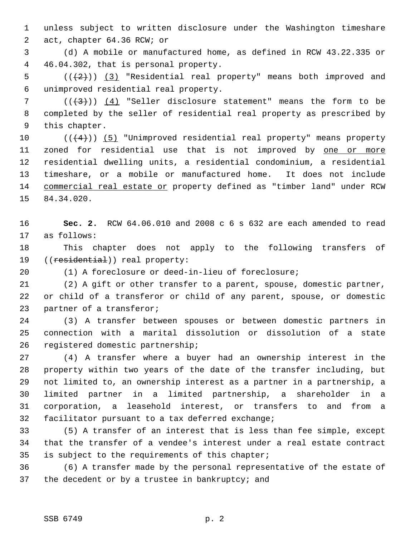1 unless subject to written disclosure under the Washington timeshare 2 act, chapter 64.36 RCW; or

 3 (d) A mobile or manufactured home, as defined in RCW 43.22.335 or 4 46.04.302, that is personal property.

5  $((+2))$   $(3)$  "Residential real property" means both improved and 6 unimproved residential real property.

 $7$  ( $(\frac{1}{3})$ ) (4) "Seller disclosure statement" means the form to be 8 completed by the seller of residential real property as prescribed by 9 this chapter.

10  $((+4))$  (5) "Unimproved residential real property" means property 11 zoned for residential use that is not improved by one or more 12 residential dwelling units, a residential condominium, a residential 13 timeshare, or a mobile or manufactured home. It does not include 14 commercial real estate or property defined as "timber land" under RCW 15 84.34.020.

16 **Sec. 2.** RCW 64.06.010 and 2008 c 6 s 632 are each amended to read 17 as follows:

18 This chapter does not apply to the following transfers of 19 ((residential)) real property:

20 (1) A foreclosure or deed-in-lieu of foreclosure;

21 (2) A gift or other transfer to a parent, spouse, domestic partner, 22 or child of a transferor or child of any parent, spouse, or domestic 23 partner of a transferor;

24 (3) A transfer between spouses or between domestic partners in 25 connection with a marital dissolution or dissolution of a state 26 registered domestic partnership;

27 (4) A transfer where a buyer had an ownership interest in the 28 property within two years of the date of the transfer including, but 29 not limited to, an ownership interest as a partner in a partnership, a 30 limited partner in a limited partnership, a shareholder in a 31 corporation, a leasehold interest, or transfers to and from a 32 facilitator pursuant to a tax deferred exchange;

33 (5) A transfer of an interest that is less than fee simple, except 34 that the transfer of a vendee's interest under a real estate contract 35 is subject to the requirements of this chapter;

36 (6) A transfer made by the personal representative of the estate of 37 the decedent or by a trustee in bankruptcy; and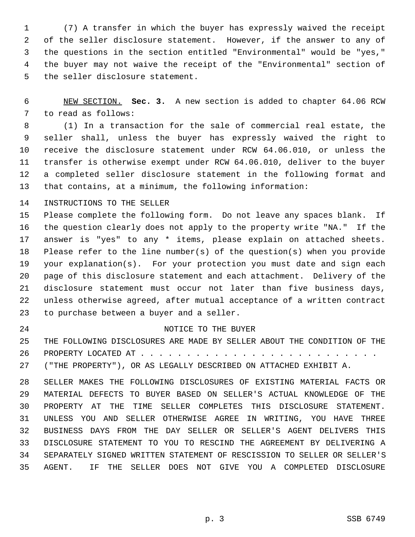1 (7) A transfer in which the buyer has expressly waived the receipt 2 of the seller disclosure statement. However, if the answer to any of 3 the questions in the section entitled "Environmental" would be "yes," 4 the buyer may not waive the receipt of the "Environmental" section of 5 the seller disclosure statement.

 6 NEW SECTION. **Sec. 3.** A new section is added to chapter 64.06 RCW 7 to read as follows:

 8 (1) In a transaction for the sale of commercial real estate, the 9 seller shall, unless the buyer has expressly waived the right to 10 receive the disclosure statement under RCW 64.06.010, or unless the 11 transfer is otherwise exempt under RCW 64.06.010, deliver to the buyer 12 a completed seller disclosure statement in the following format and 13 that contains, at a minimum, the following information:

14 INSTRUCTIONS TO THE SELLER

15 Please complete the following form. Do not leave any spaces blank. If 16 the question clearly does not apply to the property write "NA." If the 17 answer is "yes" to any \* items, please explain on attached sheets. 18 Please refer to the line number(s) of the question(s) when you provide 19 your explanation(s). For your protection you must date and sign each 20 page of this disclosure statement and each attachment. Delivery of the 21 disclosure statement must occur not later than five business days, 22 unless otherwise agreed, after mutual acceptance of a written contract 23 to purchase between a buyer and a seller.

## 24 NOTICE TO THE BUYER

25 THE FOLLOWING DISCLOSURES ARE MADE BY SELLER ABOUT THE CONDITION OF THE 26 PROPERTY LOCATED AT . . . . . . . . . . . . . . . . . . . . . . . . . .

27 ("THE PROPERTY"), OR AS LEGALLY DESCRIBED ON ATTACHED EXHIBIT A.

28 SELLER MAKES THE FOLLOWING DISCLOSURES OF EXISTING MATERIAL FACTS OR 29 MATERIAL DEFECTS TO BUYER BASED ON SELLER'S ACTUAL KNOWLEDGE OF THE 30 PROPERTY AT THE TIME SELLER COMPLETES THIS DISCLOSURE STATEMENT. 31 UNLESS YOU AND SELLER OTHERWISE AGREE IN WRITING, YOU HAVE THREE 32 BUSINESS DAYS FROM THE DAY SELLER OR SELLER'S AGENT DELIVERS THIS 33 DISCLOSURE STATEMENT TO YOU TO RESCIND THE AGREEMENT BY DELIVERING A 34 SEPARATELY SIGNED WRITTEN STATEMENT OF RESCISSION TO SELLER OR SELLER'S 35 AGENT. IF THE SELLER DOES NOT GIVE YOU A COMPLETED DISCLOSURE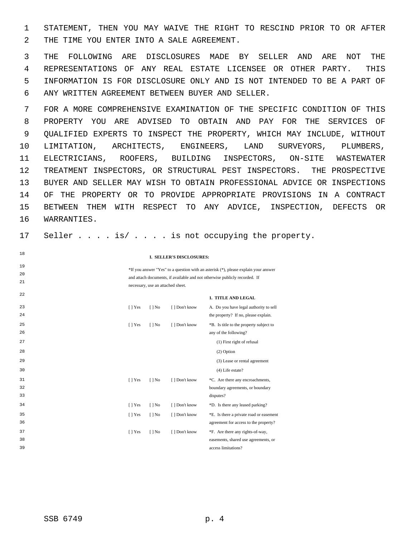1 STATEMENT, THEN YOU MAY WAIVE THE RIGHT TO RESCIND PRIOR TO OR AFTER 2 THE TIME YOU ENTER INTO A SALE AGREEMENT.

 3 THE FOLLOWING ARE DISCLOSURES MADE BY SELLER AND ARE NOT THE 4 REPRESENTATIONS OF ANY REAL ESTATE LICENSEE OR OTHER PARTY. THIS 5 INFORMATION IS FOR DISCLOSURE ONLY AND IS NOT INTENDED TO BE A PART OF 6 ANY WRITTEN AGREEMENT BETWEEN BUYER AND SELLER.

 7 FOR A MORE COMPREHENSIVE EXAMINATION OF THE SPECIFIC CONDITION OF THIS 8 PROPERTY YOU ARE ADVISED TO OBTAIN AND PAY FOR THE SERVICES OF 9 QUALIFIED EXPERTS TO INSPECT THE PROPERTY, WHICH MAY INCLUDE, WITHOUT 10 LIMITATION, ARCHITECTS, ENGINEERS, LAND SURVEYORS, PLUMBERS, 11 ELECTRICIANS, ROOFERS, BUILDING INSPECTORS, ON-SITE WASTEWATER 12 TREATMENT INSPECTORS, OR STRUCTURAL PEST INSPECTORS. THE PROSPECTIVE 13 BUYER AND SELLER MAY WISH TO OBTAIN PROFESSIONAL ADVICE OR INSPECTIONS 14 OF THE PROPERTY OR TO PROVIDE APPROPRIATE PROVISIONS IN A CONTRACT 15 BETWEEN THEM WITH RESPECT TO ANY ADVICE, INSPECTION, DEFECTS OR 16 WARRANTIES.

17 Seller . . . . is/ . . . . is not occupying the property.

**I. SELLER'S DISCLOSURES:**

\*If you answer "Yes" to a question with an asterisk (\*), please explain your answer and attach documents, if available and not otherwise publicly recorded. If necessary, use an attached sheet.

**1. TITLE AND LEGAL**

| 23 | $[$   Yes | $[$   No | [ ] Don't know | A. Do you have legal authority to sell  |
|----|-----------|----------|----------------|-----------------------------------------|
| 24 |           |          |                | the property? If no, please explain.    |
| 25 | $[$   Yes | $[$   No | [ ] Don't know | *B. Is title to the property subject to |
| 26 |           |          |                | any of the following?                   |
| 27 |           |          |                | (1) First right of refusal              |
| 28 |           |          |                | $(2)$ Option                            |
| 29 |           |          |                | (3) Lease or rental agreement           |
| 30 |           |          |                | $(4)$ Life estate?                      |
| 31 | $[$   Yes | $[$   No | [ ] Don't know | *C. Are there any encroachments,        |
| 32 |           |          |                | boundary agreements, or boundary        |
| 33 |           |          |                | disputes?                               |
| 34 | $[$   Yes | $[$   No | [] Don't know  | *D. Is there any leased parking?        |
| 35 | $[$   Yes | $[$   No | [ ] Don't know | *E. Is there a private road or easement |
| 36 |           |          |                | agreement for access to the property?   |
| 37 | $[$   Yes | $[$   No | [ ] Don't know | *F. Are there any rights-of-way,        |
| 38 |           |          |                | easements, shared use agreements, or    |
| 39 |           |          |                | access limitations?                     |
|    |           |          |                |                                         |

18

19 20 21

22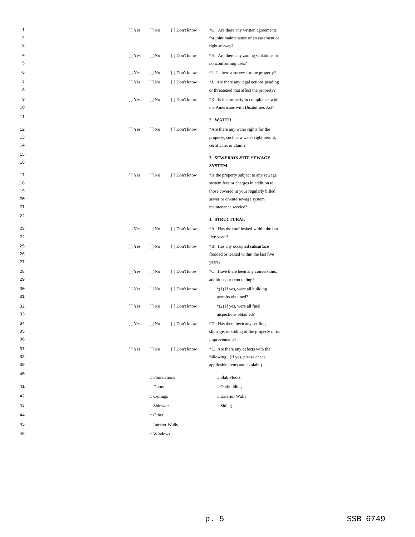| 1<br>2<br>3 | $[ ]$ Yes      | $[ ]$ No              | [ ] Don't know | *G. Are there any written agreements<br>for joint maintenance of an easement or<br>right-of-way? |
|-------------|----------------|-----------------------|----------------|--------------------------------------------------------------------------------------------------|
| 4<br>5      | $[ ]$ Yes      | $[ ]$ No              | [ ] Don't know | *H. Are there any zoning violations or<br>nonconforming uses?                                    |
| 6           | $[$   Yes      | $[ ]$ No              | [ ] Don't know | *I. Is there a survey for the property?                                                          |
| 7<br>8      | $[ ]$ Yes      | $[ ]$ No              | [ ] Don't know | *J. Are there any legal actions pending<br>or threatened that affect the property?               |
| 9<br>10     | [ ] Yes        | $[ ]$ No              | [] Don't know  | *K. Is the property in compliance with<br>the Americans with Disabilities Act?                   |
| 11          |                |                       |                | 2. WATER                                                                                         |
| 12          | $[$   Yes      | $[ ]$ No              | [ ] Don't know | *Are there any water rights for the                                                              |
| 13          |                |                       |                | property, such as a water right permit,                                                          |
| 14          |                |                       |                | certificate, or claim?                                                                           |
| 15          |                |                       |                | 3. SEWER/ON-SITE SEWAGE                                                                          |
| 16          |                |                       |                | <b>SYSTEM</b>                                                                                    |
| 17          | [ ] Yes        | $[ ]$ No              | [ ] Don't know | *Is the property subject to any sewage                                                           |
| 18          |                |                       |                | system fees or charges in addition to                                                            |
| 19          |                |                       |                | those covered in your regularly billed                                                           |
| 20          |                |                       |                | sewer or on-site sewage system                                                                   |
| 21          |                |                       |                | maintenance service?                                                                             |
| 22          |                |                       |                | <b>4. STRUCTURAL</b>                                                                             |
| 23          | $[ ]$ Yes      | $[ ]$ No              | [ ] Don't know | *A. Has the roof leaked within the last                                                          |
| 24          |                |                       |                | five years?                                                                                      |
| 25          | [ ] Yes        | $[ ]$ No              | [ ] Don't know | *B. Has any occupied subsurface                                                                  |
| 26          |                |                       |                | flooded or leaked within the last five                                                           |
| 27          |                |                       |                | years?                                                                                           |
| 28<br>29    | $[ ]$ Yes      | $[ ]$ No              | [ ] Don't know | *C. Have there been any conversions,<br>additions, or remodeling?                                |
| 30          | [ ] Yes        | $[ ]$ No              | [ ] Don't know | *(1) If yes, were all building                                                                   |
| 31          |                |                       |                | permits obtained?                                                                                |
| 32          | [ ] Yes        | $[ ]$ No              | [ ] Don't know | *(2) If yes, were all final                                                                      |
| 33          |                |                       |                | inspections obtained?                                                                            |
| 34          | [ ] Yes        | $[ ]$ No              | [ ] Don't know | *D. Has there been any settling,                                                                 |
| 35          |                |                       |                | slippage, or sliding of the property or its                                                      |
| 36          |                |                       |                | improvements?                                                                                    |
| 37          | $\lceil$   Yes | $[ ]$ No              | [] Don't know  | *E. Are there any defects with the                                                               |
| 38<br>39    |                |                       |                | following: (If yes, please check                                                                 |
| 40          |                |                       |                | applicable items and explain.)                                                                   |
|             |                | $\Box$ Foundations    |                | $\Box$ Slab Floors                                                                               |
| 41          |                | $\square$ Doors       |                | $\Box$ Outbuildings                                                                              |
| 42          |                | $\Box$ Ceilings       |                | $\Box$ Exterior Walls                                                                            |
| 43          |                | $\square$ Sidewalks   |                | $\Box$ Siding                                                                                    |
| 44          |                | $\Box$ Other          |                |                                                                                                  |
| 45          |                | $\Box$ Interior Walls |                |                                                                                                  |
| 46          |                | $\Box$ Windows        |                |                                                                                                  |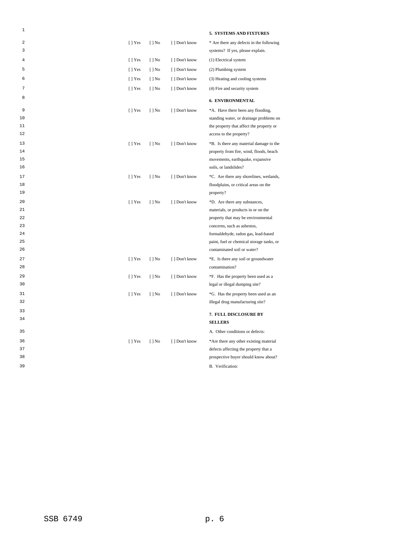| 1      |           |                          |                | 5. SYSTEMS AND FIXTURES                                             |
|--------|-----------|--------------------------|----------------|---------------------------------------------------------------------|
| 2      | $[$   Yes | $[$   No                 | [ ] Don't know | * Are there any defects in the following                            |
| 3      |           |                          |                | systems? If yes, please explain.                                    |
| 4      | $[ ]$ Yes | $[ ]$ No                 | [ ] Don't know | (1) Electrical system                                               |
| 5      | $[ ]$ Yes | $[ ]$ No                 | [ ] Don't know | (2) Plumbing system                                                 |
| 6      | $[ ]$ Yes | $[ ]$ No                 | [] Don't know  | (3) Heating and cooling systems                                     |
| 7      | $[ ]$ Yes | $[$   No                 | [] Don't know  | (4) Fire and security system                                        |
| 8      |           |                          |                | <b>6. ENVIRONMENTAL</b>                                             |
| 9      |           |                          |                |                                                                     |
| 10     | $[$   Yes | $[$   No                 | [ ] Don't know | *A. Have there been any flooding,                                   |
| 11     |           |                          |                | standing water, or drainage problems on                             |
| 12     |           |                          |                | the property that affect the property or<br>access to the property? |
|        |           |                          |                |                                                                     |
| 13     | $[ ]$ Yes | $[ ]$ No                 | [ ] Don't know | *B. Is there any material damage to the                             |
| 14     |           |                          |                | property from fire, wind, floods, beach                             |
| 15     |           |                          |                | movements, earthquake, expansive                                    |
| 16     |           |                          |                | soils, or landslides?                                               |
| $17\,$ | $[ ]$ Yes | $[ ]$ No                 | [ ] Don't know | *C. Are there any shorelines, wetlands,                             |
| 18     |           |                          |                | floodplains, or critical areas on the                               |
| 19     |           |                          |                | property?                                                           |
| 20     | $[$   Yes | $[$   No                 | [ ] Don't know | *D. Are there any substances,                                       |
| 21     |           |                          |                | materials, or products in or on the                                 |
| 22     |           |                          |                | property that may be environmental                                  |
| 23     |           |                          |                | concerns, such as asbestos,                                         |
| 24     |           |                          |                | formaldehyde, radon gas, lead-based                                 |
| 25     |           |                          |                | paint, fuel or chemical storage tanks, or                           |
| 26     |           |                          |                | contaminated soil or water?                                         |
| 27     | [] Yes    | $[$   No                 | [ ] Don't know | *E. Is there any soil or groundwater                                |
| 28     |           |                          |                | contamination?                                                      |
| 29     | $[ ]$ Yes | $[ ]$ No                 | [ ] Don't know | *F. Has the property been used as a                                 |
| 30     |           |                          |                | legal or illegal dumping site?                                      |
| 31     | $[$   Yes | $\lceil \cdot \rceil$ No | [ ] Don't know | *G. Has the property been used as an                                |
| 32     |           |                          |                | illegal drug manufacturing site?                                    |
| 33     |           |                          |                | 7. FULL DISCLOSURE BY                                               |
| 34     |           |                          |                | <b>SELLERS</b>                                                      |
| 35     |           |                          |                | A. Other conditions or defects:                                     |
|        |           |                          |                |                                                                     |
| 36     | $[ ]$ Yes | $[ ]$ No                 | [ ] Don't know | *Are there any other existing material                              |
| 37     |           |                          |                | defects affecting the property that a                               |
| 38     |           |                          |                | prospective buyer should know about?                                |
| 39     |           |                          |                | B. Verification:                                                    |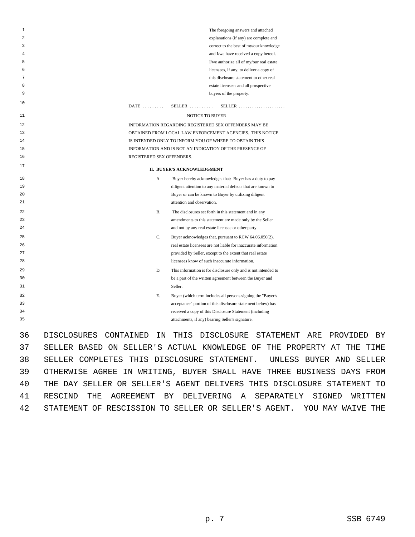| 1  |             |                           |           | The foregoing answers and attached                                                                                         |
|----|-------------|---------------------------|-----------|----------------------------------------------------------------------------------------------------------------------------|
| 2  |             |                           |           | explanations (if any) are complete and                                                                                     |
| 3  |             |                           |           | correct to the best of my/our knowledge                                                                                    |
| 4  |             |                           |           | and I/we have received a copy hereof.                                                                                      |
| 5  |             |                           |           | I/we authorize all of my/our real estate                                                                                   |
| 6  |             |                           |           | licensees, if any, to deliver a copy of                                                                                    |
| 7  |             |                           |           | this disclosure statement to other real                                                                                    |
| 8  |             |                           |           | estate licensees and all prospective                                                                                       |
| 9  |             |                           |           | buyers of the property.                                                                                                    |
| 10 |             | $DATE$                    |           | $SELLER$<br>$SELLER$                                                                                                       |
| 11 |             |                           |           | NOTICE TO BUYER                                                                                                            |
| 12 |             |                           |           | INFORMATION REGARDING REGISTERED SEX OFFENDERS MAY BE                                                                      |
| 13 |             |                           |           | OBTAINED FROM LOCAL LAW ENFORCEMENT AGENCIES. THIS NOTICE                                                                  |
| 14 |             |                           |           | IS INTENDED ONLY TO INFORM YOU OF WHERE TO OBTAIN THIS                                                                     |
| 15 |             |                           |           | INFORMATION AND IS NOT AN INDICATION OF THE PRESENCE OF                                                                    |
| 16 |             | REGISTERED SEX OFFENDERS. |           |                                                                                                                            |
| 17 |             |                           |           | II. BUYER'S ACKNOWLEDGMENT                                                                                                 |
| 18 |             |                           | А.        | Buyer hereby acknowledges that: Buyer has a duty to pay                                                                    |
| 19 |             |                           |           | diligent attention to any material defects that are known to                                                               |
| 20 |             |                           |           | Buyer or can be known to Buyer by utilizing diligent                                                                       |
| 21 |             |                           |           | attention and observation.                                                                                                 |
| 22 |             |                           | <b>B.</b> | The disclosures set forth in this statement and in any                                                                     |
| 23 |             |                           |           | amendments to this statement are made only by the Seller                                                                   |
| 24 |             |                           |           | and not by any real estate licensee or other party.                                                                        |
| 25 |             |                           | C.        | Buyer acknowledges that, pursuant to RCW 64.06.050(2),                                                                     |
| 26 |             |                           |           | real estate licensees are not liable for inaccurate information                                                            |
| 27 |             |                           |           | provided by Seller, except to the extent that real estate                                                                  |
| 28 |             |                           |           | licensees know of such inaccurate information.                                                                             |
| 29 |             |                           | D.        | This information is for disclosure only and is not intended to                                                             |
| 30 |             |                           |           | be a part of the written agreement between the Buyer and                                                                   |
| 31 |             |                           |           | Seller.                                                                                                                    |
| 32 |             |                           | Е.        |                                                                                                                            |
| 33 |             |                           |           | Buyer (which term includes all persons signing the "Buyer's<br>acceptance" portion of this disclosure statement below) has |
| 34 |             |                           |           | received a copy of this Disclosure Statement (including                                                                    |
| 35 |             |                           |           |                                                                                                                            |
|    |             |                           |           | attachments, if any) bearing Seller's signature.                                                                           |
| 36 | DISCLOSURES | CONTAINED                 | ΤN        | <b>DISCLOSURE</b><br>THTS<br>STATEMENT<br>А                                                                                |

ARE PROVIDED BY 37 SELLER BASED ON SELLER'S ACTUAL KNOWLEDGE OF THE PROPERTY AT THE TIME 38 SELLER COMPLETES THIS DISCLOSURE STATEMENT. UNLESS BUYER AND SELLER 39 OTHERWISE AGREE IN WRITING, BUYER SHALL HAVE THREE BUSINESS DAYS FROM 40 THE DAY SELLER OR SELLER'S AGENT DELIVERS THIS DISCLOSURE STATEMENT TO 41 RESCIND THE AGREEMENT BY DELIVERING A SEPARATELY SIGNED WRITTEN 42 STATEMENT OF RESCISSION TO SELLER OR SELLER'S AGENT. YOU MAY WAIVE THE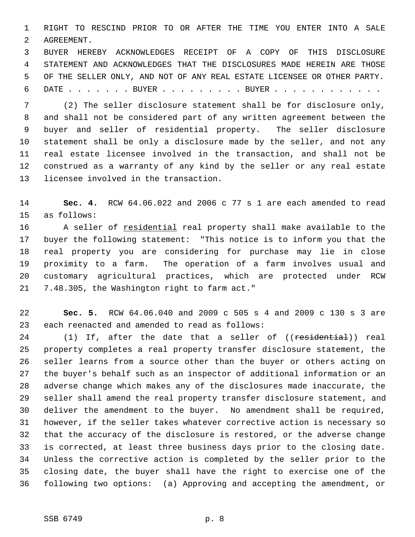1 RIGHT TO RESCIND PRIOR TO OR AFTER THE TIME YOU ENTER INTO A SALE 2 AGREEMENT.

 3 BUYER HEREBY ACKNOWLEDGES RECEIPT OF A COPY OF THIS DISCLOSURE 4 STATEMENT AND ACKNOWLEDGES THAT THE DISCLOSURES MADE HEREIN ARE THOSE 5 OF THE SELLER ONLY, AND NOT OF ANY REAL ESTATE LICENSEE OR OTHER PARTY. 6 DATE . . . . . . . BUYER . . . . . . . . . BUYER . . . . . . . . . . . .

 7 (2) The seller disclosure statement shall be for disclosure only, 8 and shall not be considered part of any written agreement between the 9 buyer and seller of residential property. The seller disclosure 10 statement shall be only a disclosure made by the seller, and not any 11 real estate licensee involved in the transaction, and shall not be 12 construed as a warranty of any kind by the seller or any real estate 13 licensee involved in the transaction.

14 **Sec. 4.** RCW 64.06.022 and 2006 c 77 s 1 are each amended to read 15 as follows:

16 A seller of residential real property shall make available to the 17 buyer the following statement: "This notice is to inform you that the 18 real property you are considering for purchase may lie in close 19 proximity to a farm. The operation of a farm involves usual and 20 customary agricultural practices, which are protected under RCW 21 7.48.305, the Washington right to farm act."

22 **Sec. 5.** RCW 64.06.040 and 2009 c 505 s 4 and 2009 c 130 s 3 are 23 each reenacted and amended to read as follows:

24 (1) If, after the date that a seller of ((residential)) real 25 property completes a real property transfer disclosure statement, the 26 seller learns from a source other than the buyer or others acting on 27 the buyer's behalf such as an inspector of additional information or an 28 adverse change which makes any of the disclosures made inaccurate, the 29 seller shall amend the real property transfer disclosure statement, and 30 deliver the amendment to the buyer. No amendment shall be required, 31 however, if the seller takes whatever corrective action is necessary so 32 that the accuracy of the disclosure is restored, or the adverse change 33 is corrected, at least three business days prior to the closing date. 34 Unless the corrective action is completed by the seller prior to the 35 closing date, the buyer shall have the right to exercise one of the 36 following two options: (a) Approving and accepting the amendment, or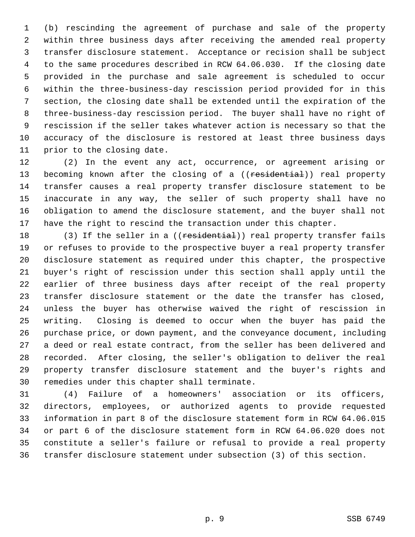1 (b) rescinding the agreement of purchase and sale of the property 2 within three business days after receiving the amended real property 3 transfer disclosure statement. Acceptance or recision shall be subject 4 to the same procedures described in RCW 64.06.030. If the closing date 5 provided in the purchase and sale agreement is scheduled to occur 6 within the three-business-day rescission period provided for in this 7 section, the closing date shall be extended until the expiration of the 8 three-business-day rescission period. The buyer shall have no right of 9 rescission if the seller takes whatever action is necessary so that the 10 accuracy of the disclosure is restored at least three business days 11 prior to the closing date.

12 (2) In the event any act, occurrence, or agreement arising or 13 becoming known after the closing of a ((residential)) real property 14 transfer causes a real property transfer disclosure statement to be 15 inaccurate in any way, the seller of such property shall have no 16 obligation to amend the disclosure statement, and the buyer shall not 17 have the right to rescind the transaction under this chapter.

18 (3) If the seller in a ((residential)) real property transfer fails 19 or refuses to provide to the prospective buyer a real property transfer 20 disclosure statement as required under this chapter, the prospective 21 buyer's right of rescission under this section shall apply until the 22 earlier of three business days after receipt of the real property 23 transfer disclosure statement or the date the transfer has closed, 24 unless the buyer has otherwise waived the right of rescission in 25 writing. Closing is deemed to occur when the buyer has paid the 26 purchase price, or down payment, and the conveyance document, including 27 a deed or real estate contract, from the seller has been delivered and 28 recorded. After closing, the seller's obligation to deliver the real 29 property transfer disclosure statement and the buyer's rights and 30 remedies under this chapter shall terminate.

31 (4) Failure of a homeowners' association or its officers, 32 directors, employees, or authorized agents to provide requested 33 information in part 8 of the disclosure statement form in RCW 64.06.015 34 or part 6 of the disclosure statement form in RCW 64.06.020 does not 35 constitute a seller's failure or refusal to provide a real property 36 transfer disclosure statement under subsection (3) of this section.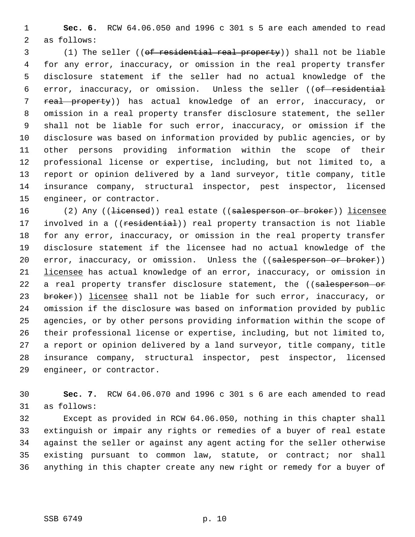1 **Sec. 6.** RCW 64.06.050 and 1996 c 301 s 5 are each amended to read 2 as follows:

 3 (1) The seller ((of residential real property)) shall not be liable 4 for any error, inaccuracy, or omission in the real property transfer 5 disclosure statement if the seller had no actual knowledge of the 6 error, inaccuracy, or omission. Unless the seller ((of residential 7 real property)) has actual knowledge of an error, inaccuracy, or 8 omission in a real property transfer disclosure statement, the seller 9 shall not be liable for such error, inaccuracy, or omission if the 10 disclosure was based on information provided by public agencies, or by 11 other persons providing information within the scope of their 12 professional license or expertise, including, but not limited to, a 13 report or opinion delivered by a land surveyor, title company, title 14 insurance company, structural inspector, pest inspector, licensed 15 engineer, or contractor.

16 (2) Any ((<del>licensed</del>)) real estate ((salesperson or broker)) licensee 17 involved in a ((residential)) real property transaction is not liable 18 for any error, inaccuracy, or omission in the real property transfer 19 disclosure statement if the licensee had no actual knowledge of the 20 error, inaccuracy, or omission. Unless the ((salesperson or broker)) 21 licensee has actual knowledge of an error, inaccuracy, or omission in 22 a real property transfer disclosure statement, the ((salesperson or 23 broker)) licensee shall not be liable for such error, inaccuracy, or 24 omission if the disclosure was based on information provided by public 25 agencies, or by other persons providing information within the scope of 26 their professional license or expertise, including, but not limited to, 27 a report or opinion delivered by a land surveyor, title company, title 28 insurance company, structural inspector, pest inspector, licensed 29 engineer, or contractor.

30 **Sec. 7.** RCW 64.06.070 and 1996 c 301 s 6 are each amended to read 31 as follows:

32 Except as provided in RCW 64.06.050, nothing in this chapter shall 33 extinguish or impair any rights or remedies of a buyer of real estate 34 against the seller or against any agent acting for the seller otherwise 35 existing pursuant to common law, statute, or contract; nor shall 36 anything in this chapter create any new right or remedy for a buyer of